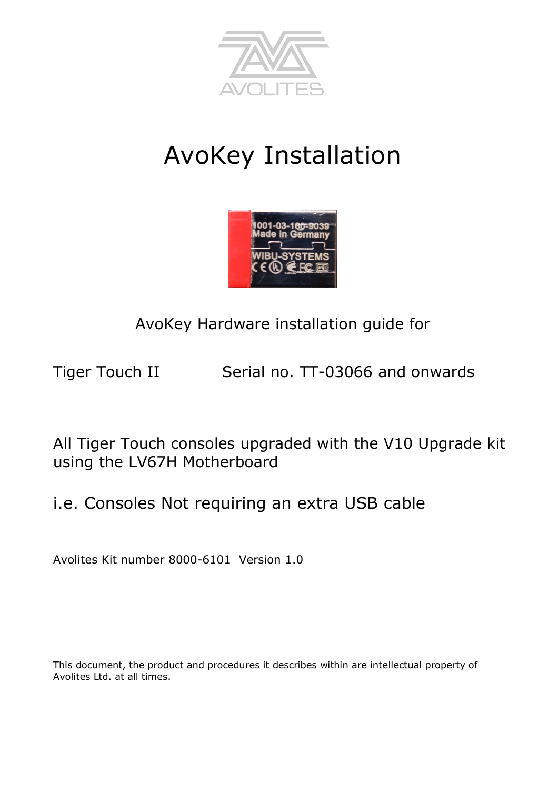

# AvoKey Installation



## AvoKey Hardware installation guide for

Tiger Touch II Serial no. TT-03066 and onwards

All Tiger Touch consoles upgraded with the V10 Upgrade kit using the LV67H Motherboard

i.e. Consoles Not requiring an extra USB cable

Avolites Kit number 8000-6101 Version 1.0

This document, the product and procedures it describes within are intellectual property of Avolites Ltd. at all times.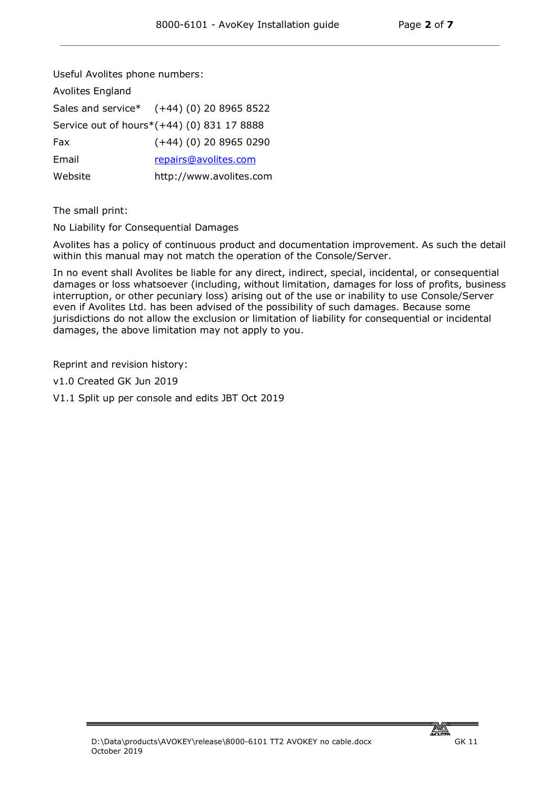Useful Avolites phone numbers:

| <b>Avolites England</b> |                                            |
|-------------------------|--------------------------------------------|
|                         | Sales and service* (+44) (0) 20 8965 8522  |
|                         | Service out of hours*(+44) (0) 831 17 8888 |
| Fax                     | $(+44)$ (0) 20 8965 0290                   |
| Email                   | repairs@avolites.com                       |
| Website                 | http://www.avolites.com                    |

The small print:

No Liability for Consequential Damages

Avolites has a policy of continuous product and documentation improvement. As such the detail within this manual may not match the operation of the Console/Server.

In no event shall Avolites be liable for any direct, indirect, special, incidental, or consequential damages or loss whatsoever (including, without limitation, damages for loss of profits, business interruption, or other pecuniary loss) arising out of the use or inability to use Console/Server even if Avolites Ltd. has been advised of the possibility of such damages. Because some jurisdictions do not allow the exclusion or limitation of liability for consequential or incidental damages, the above limitation may not apply to you.

Reprint and revision history:

v1.0 Created GK Jun 2019

V1.1 Split up per console and edits JBT Oct 2019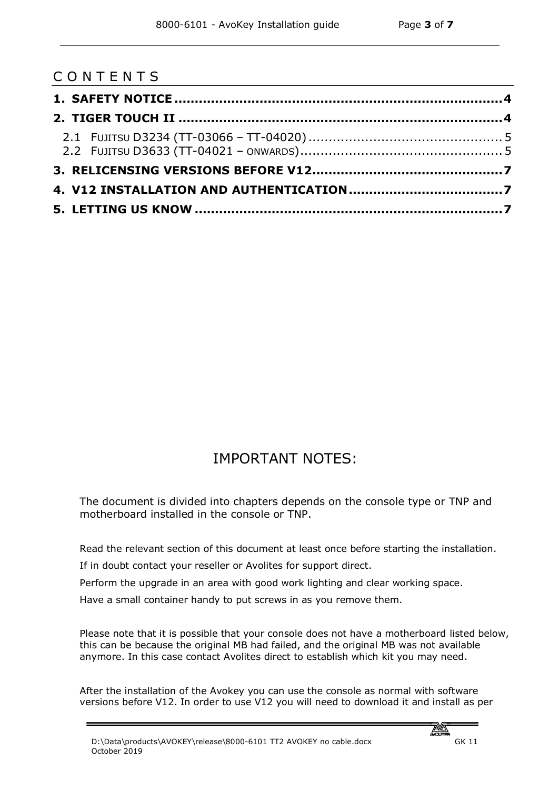|  |  |  | CONTENTS |  |  |  |  |  |
|--|--|--|----------|--|--|--|--|--|
|--|--|--|----------|--|--|--|--|--|

### IMPORTANT NOTES:

The document is divided into chapters depends on the console type or TNP and motherboard installed in the console or TNP.

Read the relevant section of this document at least once before starting the installation.

If in doubt contact your reseller or Avolites for support direct.

Perform the upgrade in an area with good work lighting and clear working space.

Have a small container handy to put screws in as you remove them.

Please note that it is possible that your console does not have a motherboard listed below, this can be because the original MB had failed, and the original MB was not available anymore. In this case contact Avolites direct to establish which kit you may need.

After the installation of the Avokey you can use the console as normal with software versions before V12. In order to use V12 you will need to download it and install as per

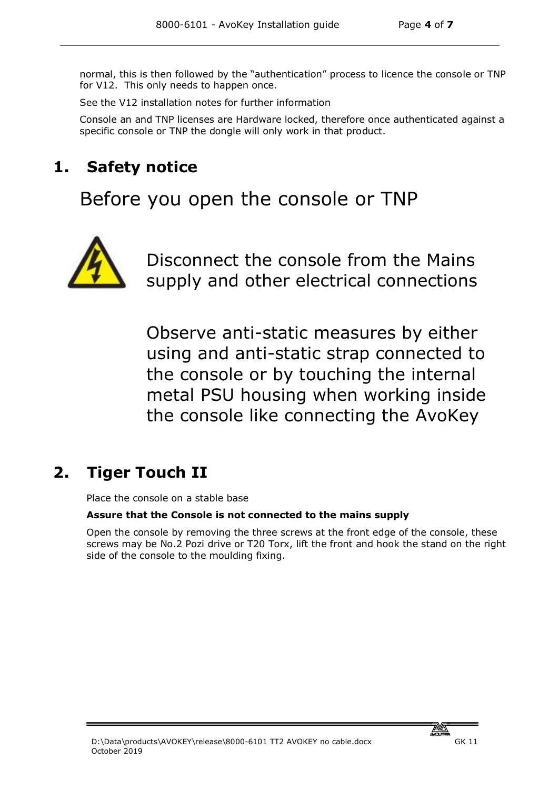normal, this is then followed by the "authentication" process to licence the console or TNP for V12. This only needs to happen once.

See the V12 installation notes for further information

Console an and TNP licenses are Hardware locked, therefore once authenticated against a specific console or TNP the dongle will only work in that product.

## **1. Safety notice**

Before you open the console or TNP



Disconnect the console from the Mains supply and other electrical connections

Observe anti-static measures by either using and anti-static strap connected to the console or by touching the internal metal PSU housing when working inside the console like connecting the AvoKey

## **2. Tiger Touch II**

Place the console on a stable base

#### **Assure that the Console is not connected to the mains supply**

Open the console by removing the three screws at the front edge of the console, these screws may be No.2 Pozi drive or T20 Torx, lift the front and hook the stand on the right side of the console to the moulding fixing.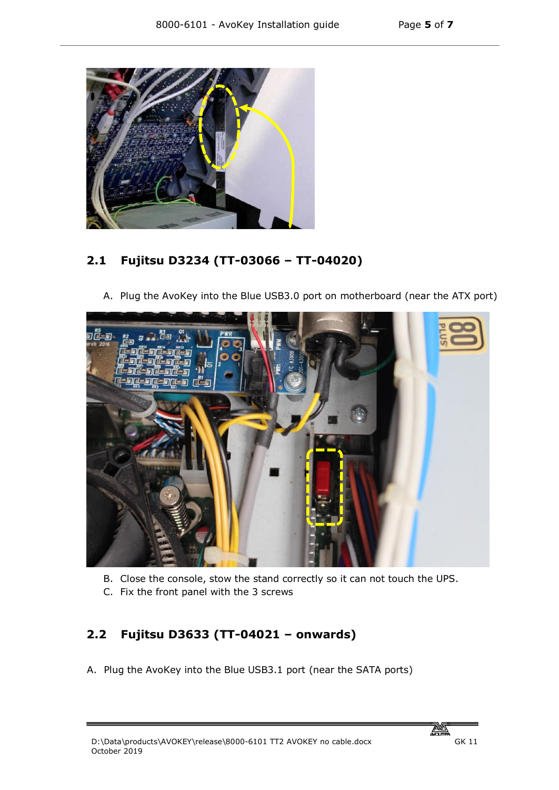

#### **2.1 Fujitsu D3234 (TT-03066 – TT-04020)**

A. Plug the AvoKey into the Blue USB3.0 port on motherboard (near the ATX port)



- B. Close the console, stow the stand correctly so it can not touch the UPS.
- C. Fix the front panel with the 3 screws

#### **2.2 Fujitsu D3633 (TT-04021 – onwards)**

A. Plug the AvoKey into the Blue USB3.1 port (near the SATA ports)

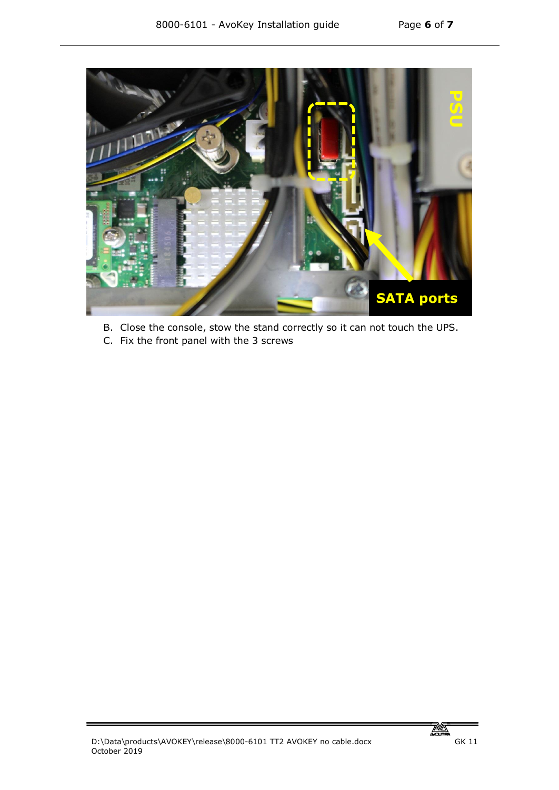

- B. Close the console, stow the stand correctly so it can not touch the UPS.
- C. Fix the front panel with the 3 screws